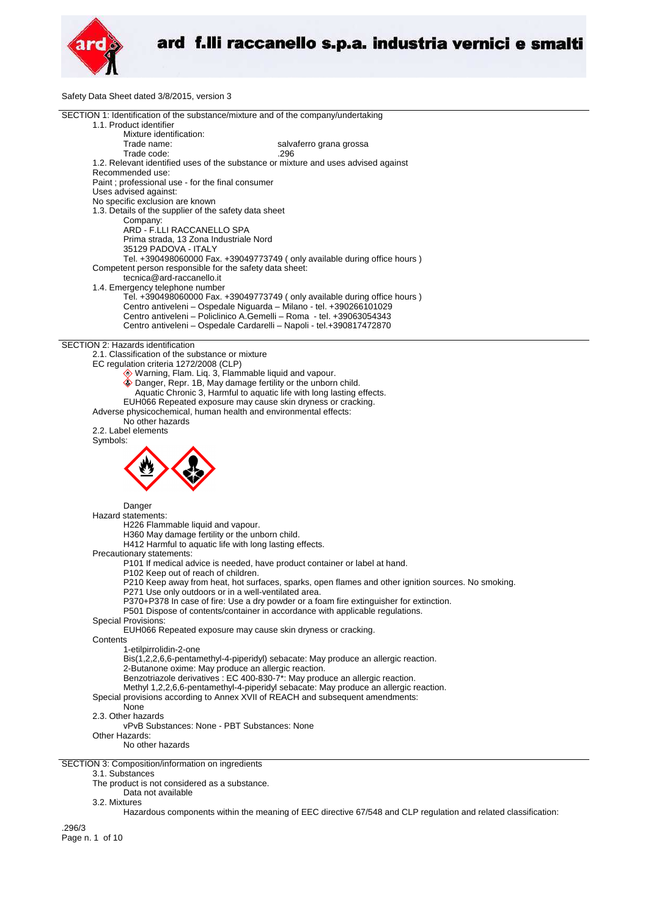

Safety Data Sheet dated 3/8/2015, version 3

| SECTION 1: Identification of the substance/mixture and of the company/undertaking                   |
|-----------------------------------------------------------------------------------------------------|
| 1.1. Product identifier                                                                             |
| Mixture identification:                                                                             |
| Trade name:<br>salvaferro grana grossa                                                              |
|                                                                                                     |
| Trade code:<br>.296                                                                                 |
| 1.2. Relevant identified uses of the substance or mixture and uses advised against                  |
| Recommended use:                                                                                    |
| Paint ; professional use - for the final consumer                                                   |
| Uses advised against:                                                                               |
|                                                                                                     |
| No specific exclusion are known                                                                     |
| 1.3. Details of the supplier of the safety data sheet                                               |
| Company:                                                                                            |
| ARD - F.LLI RACCANELLO SPA                                                                          |
| Prima strada, 13 Zona Industriale Nord                                                              |
| 35129 PADOVA - ITALY                                                                                |
| Tel. +390498060000 Fax. +39049773749 (only available during office hours)                           |
|                                                                                                     |
| Competent person responsible for the safety data sheet:                                             |
| tecnica@ard-raccanello.it                                                                           |
| 1.4. Emergency telephone number                                                                     |
| Tel. +390498060000 Fax. +39049773749 (only available during office hours)                           |
| Centro antiveleni - Ospedale Niguarda - Milano - tel. +390266101029                                 |
| Centro antiveleni - Policlinico A.Gemelli - Roma - tel. +39063054343                                |
|                                                                                                     |
| Centro antiveleni - Ospedale Cardarelli - Napoli - tel.+390817472870                                |
|                                                                                                     |
| SECTION 2: Hazards identification                                                                   |
| 2.1. Classification of the substance or mixture                                                     |
| EC regulation criteria 1272/2008 (CLP)                                                              |
| Warning, Flam. Liq. 3, Flammable liquid and vapour.                                                 |
| Danger, Repr. 1B, May damage fertility or the unborn child.                                         |
|                                                                                                     |
| Aquatic Chronic 3, Harmful to aquatic life with long lasting effects.                               |
| EUH066 Repeated exposure may cause skin dryness or cracking.                                        |
| Adverse physicochemical, human health and environmental effects:                                    |
| No other hazards                                                                                    |
| 2.2. Label elements                                                                                 |
| Symbols:                                                                                            |
|                                                                                                     |
|                                                                                                     |
|                                                                                                     |
|                                                                                                     |
|                                                                                                     |
|                                                                                                     |
|                                                                                                     |
| Danger                                                                                              |
|                                                                                                     |
| Hazard statements:                                                                                  |
| H226 Flammable liquid and vapour.                                                                   |
| H360 May damage fertility or the unborn child.                                                      |
| H412 Harmful to aquatic life with long lasting effects.                                             |
| Precautionary statements:                                                                           |
| P101 If medical advice is needed, have product container or label at hand.                          |
|                                                                                                     |
| P102 Keep out of reach of children.                                                                 |
| P210 Keep away from heat, hot surfaces, sparks, open flames and other ignition sources. No smoking. |
| P271 Use only outdoors or in a well-ventilated area.                                                |
| P370+P378 In case of fire: Use a dry powder or a foam fire extinguisher for extinction.             |
| P501 Dispose of contents/container in accordance with applicable regulations.                       |
| Special Provisions:                                                                                 |
|                                                                                                     |
| EUH066 Repeated exposure may cause skin dryness or cracking.                                        |
| Contents                                                                                            |
| 1-etilpirrolidin-2-one                                                                              |
| Bis(1,2,2,6,6-pentamethyl-4-piperidyl) sebacate: May produce an allergic reaction.                  |
| 2-Butanone oxime: May produce an allergic reaction.                                                 |
| Benzotriazole derivatives : EC 400-830-7*: May produce an allergic reaction.                        |
|                                                                                                     |
| Methyl 1,2,2,6,6-pentamethyl-4-piperidyl sebacate: May produce an allergic reaction.                |
| Special provisions according to Annex XVII of REACH and subsequent amendments:                      |
| None                                                                                                |
| 2.3. Other hazards                                                                                  |
| vPvB Substances: None - PBT Substances: None                                                        |
| Other Hazards:                                                                                      |
| No other hazards                                                                                    |
|                                                                                                     |
|                                                                                                     |
| SECTION 3: Composition/information on ingredients                                                   |
| 3.1. Substances                                                                                     |
| The product is not considered as a substance.                                                       |
| Data not available                                                                                  |
| 3.2. Mixtures                                                                                       |
|                                                                                                     |

Hazardous components within the meaning of EEC directive 67/548 and CLP regulation and related classification:

.296/3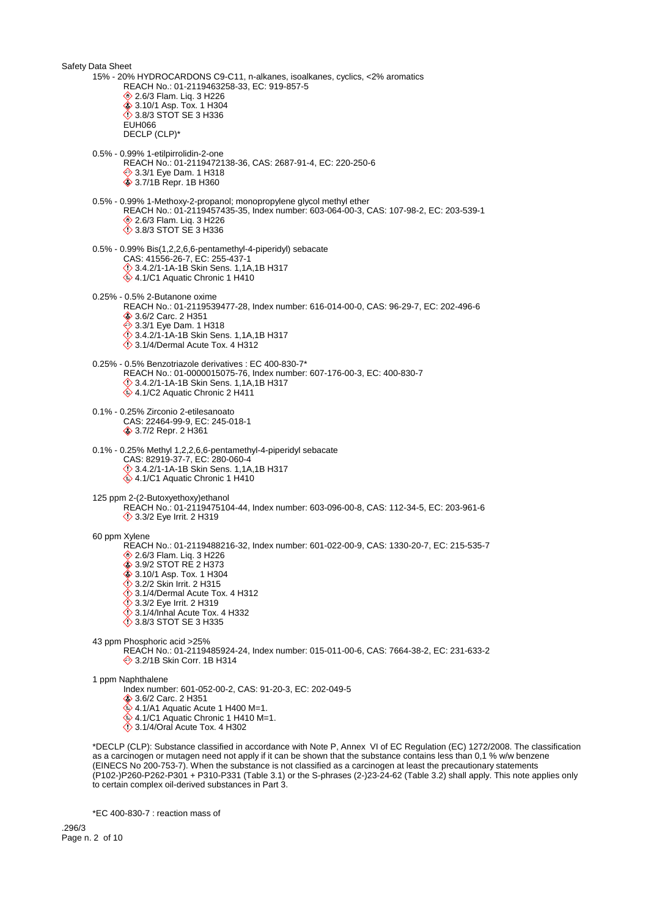Safety Data Sheet 15% - 20% HYDROCARDONS C9-C11, n-alkanes, isoalkanes, cyclics, <2% aromatics REACH No.: 01-2119463258-33, EC: 919-857-5 **♦ 2.6/3 Flam. Liq. 3 H226 ♦ 3.10/1 Asp. Tox. 1 H304 ♦ 3.8/3 STOT SE 3 H336** EUH066 DECLP (CLP)\* 0.5% - 0.99% 1-etilpirrolidin-2-one REACH No.: 01-2119472138-36, CAS: 2687-91-4, EC: 220-250-6 **♦ 3.3/1 Eye Dam. 1 H318 ♦ 3.7/1B Repr. 1B H360** 0.5% - 0.99% 1-Methoxy-2-propanol; monopropylene glycol methyl ether REACH No.: 01-2119457435-35, Index number: 603-064-00-3, CAS: 107-98-2, EC: 203-539-1 **◆ 2.6/3 Flam. Liq. 3 H226** 3.8/3 STOT SE 3 H336 0.5% - 0.99% Bis(1,2,2,6,6-pentamethyl-4-piperidyl) sebacate CAS: 41556-26-7, EC: 255-437-1 3.4.2/1-1A-1B Skin Sens. 1,1A,1B H317 4.1/C1 Aquatic Chronic 1 H410 0.25% - 0.5% 2-Butanone oxime REACH No.: 01-2119539477-28, Index number: 616-014-00-0, CAS: 96-29-7, EC: 202-496-6 3.6/2 Carc. 2 H351 **♦ 3.3/1 Eye Dam. 1 H318**  3.4.2/1-1A-1B Skin Sens. 1,1A,1B H317  $\ddot{\diamond}$  3.1/4/Dermal Acute Tox. 4 H312 0.25% - 0.5% Benzotriazole derivatives : EC 400-830-7\* REACH No.: 01-0000015075-76, Index number: 607-176-00-3, EC: 400-830-7 3.4.2/1-1A-1B Skin Sens. 1,1A,1B H317  $4.1/C2$  Aquatic Chronic 2 H411 0.1% - 0.25% Zirconio 2-etilesanoato CAS: 22464-99-9, EC: 245-018-1 3.7/2 Repr. 2 H361 0.1% - 0.25% Methyl 1,2,2,6,6-pentamethyl-4-piperidyl sebacate CAS: 82919-37-7, EC: 280-060-4  $\Diamond$  3.4.2/1-1A-1B Skin Sens. 1,1A,1B H317 4.1/C1 Aquatic Chronic 1 H410 125 ppm 2-(2-Butoxyethoxy)ethanol REACH No.: 01-2119475104-44, Index number: 603-096-00-8, CAS: 112-34-5, EC: 203-961-6 **1** 3.3/2 Eye Irrit. 2 H319 60 ppm Xylene REACH No.: 01-2119488216-32, Index number: 601-022-00-9, CAS: 1330-20-7, EC: 215-535-7 **♦ 2.6/3 Flam. Liq. 3 H226** ♦ 3.9/2 STOT RE 2 H373 **◆ 3.10/1 Asp. Tox. 1 H304**  $\ddot{\diamond}$  3.2/2 Skin Irrit. 2 H315  $\ddot{\diamond}$  3.1/4/Dermal Acute Tox. 4 H312  $\ddot{\odot}$  3.3/2 Eve Irrit. 2 H319  $\ddot{\diamond}$  3.1/4/Inhal Acute Tox. 4 H332 **♦ 3.8/3 STOT SE 3 H335** 43 ppm Phosphoric acid >25% REACH No.: 01-2119485924-24, Index number: 015-011-00-6, CAS: 7664-38-2, EC: 231-633-2 **♦ 3.2/1B Skin Corr. 1B H314** 1 ppm Naphthalene Index number: 601-052-00-2, CAS: 91-20-3, EC: 202-049-5 **♦ 3.6/2 Carc. 2 H351**  $4.1/A1$  Aquatic Acute 1 H400 M=1.  $\otimes$  4.1/C1 Aquatic Chronic 1 H410 M=1.  $\Diamond$  3.1/4/Oral Acute Tox. 4 H302 \*DECLP (CLP): Substance classified in accordance with Note P, Annex VI of EC Regulation (EC) 1272/2008. The classification

as a carcinogen or mutagen need not apply if it can be shown that the substance contains less than 0,1 % w/w benzene (EINECS No 200-753-7). When the substance is not classified as a carcinogen at least the precautionary statements (P102-)P260-P262-P301 + P310-P331 (Table 3.1) or the S-phrases (2-)23-24-62 (Table 3.2) shall apply. This note applies only to certain complex oil-derived substances in Part 3.

\*EC 400-830-7 : reaction mass of

.296/3 Page n. 2 of 10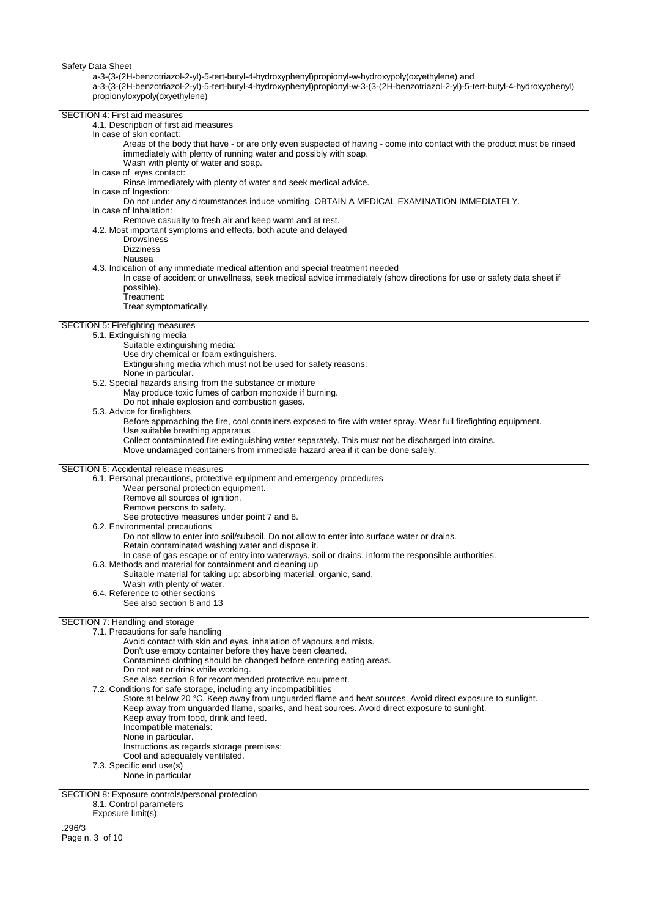a-3-(3-(2H-benzotriazol-2-yl)-5-tert-butyl-4-hydroxyphenyl)propionyl-w-hydroxypoly(oxyethylene) and

a-3-(3-(2H-benzotriazol-2-yl)-5-tert-butyl-4-hydroxyphenyl)propionyl-w-3-(3-(2H-benzotriazol-2-yl)-5-tert-butyl-4-hydroxyphenyl) propionyloxypoly(oxyethylene)

#### SECTION 4: First aid measures

4.1. Description of first aid measures

- In case of skin contact:
	- Areas of the body that have or are only even suspected of having come into contact with the product must be rinsed immediately with plenty of running water and possibly with soap. Wash with plenty of water and soap.
	-
- In case of eyes contact:
	- Rinse immediately with plenty of water and seek medical advice.
- In case of Ingestion:
- Do not under any circumstances induce vomiting. OBTAIN A MEDICAL EXAMINATION IMMEDIATELY. In case of Inhalation:
- Remove casualty to fresh air and keep warm and at rest.
- 4.2. Most important symptoms and effects, both acute and delayed
	- **Drowsiness**
	- **Dizziness**
	- Nausea
- 4.3. Indication of any immediate medical attention and special treatment needed
- In case of accident or unwellness, seek medical advice immediately (show directions for use or safety data sheet if possible).
	- Treatment:
	- Treat symptomatically.

# SECTION 5: Firefighting measures

- 5.1. Extinguishing media
	- Suitable extinguishing media:
	- Use dry chemical or foam extinguishers.
	- Extinguishing media which must not be used for safety reasons:
	- None in particular.
- 5.2. Special hazards arising from the substance or mixture
	- May produce toxic fumes of carbon monoxide if burning.
	- Do not inhale explosion and combustion gases.
- 5.3. Advice for firefighters
	- Before approaching the fire, cool containers exposed to fire with water spray. Wear full firefighting equipment.
	- Use suitable breathing apparatus .
	- Collect contaminated fire extinguishing water separately. This must not be discharged into drains.
	- Move undamaged containers from immediate hazard area if it can be done safely.

# SECTION 6: Accidental release measures

- 6.1. Personal precautions, protective equipment and emergency procedures
	- Wear personal protection equipment.
	- Remove all sources of ignition.
	- Remove persons to safety.
	- See protective measures under point 7 and 8.
- 6.2. Environmental precautions
	- Do not allow to enter into soil/subsoil. Do not allow to enter into surface water or drains.
	- Retain contaminated washing water and dispose it.
	- In case of gas escape or of entry into waterways, soil or drains, inform the responsible authorities.
- 6.3. Methods and material for containment and cleaning up
	- Suitable material for taking up: absorbing material, organic, sand.
	- Wash with plenty of water.
- 6.4. Reference to other sections
- See also section 8 and 13

# SECTION 7: Handling and storage

- 7.1. Precautions for safe handling
	- Avoid contact with skin and eyes, inhalation of vapours and mists.
	- Don't use empty container before they have been cleaned.
	- Contamined clothing should be changed before entering eating areas.
	- Do not eat or drink while working.
	- See also section 8 for recommended protective equipment.
	- 7.2. Conditions for safe storage, including any incompatibilities
		- Store at below 20 °C. Keep away from unguarded flame and heat sources. Avoid direct exposure to sunlight. Keep away from unguarded flame, sparks, and heat sources. Avoid direct exposure to sunlight.
			- Keep away from food, drink and feed.
				- Incompatible materials:
			- None in particular.
			- Instructions as regards storage premises:
			- Cool and adequately ventilated.
	- 7.3. Specific end use(s)
	- None in particular

SECTION 8: Exposure controls/personal protection 8.1. Control parameters Exposure limit(s):

.296/3

Page n. 3 of 10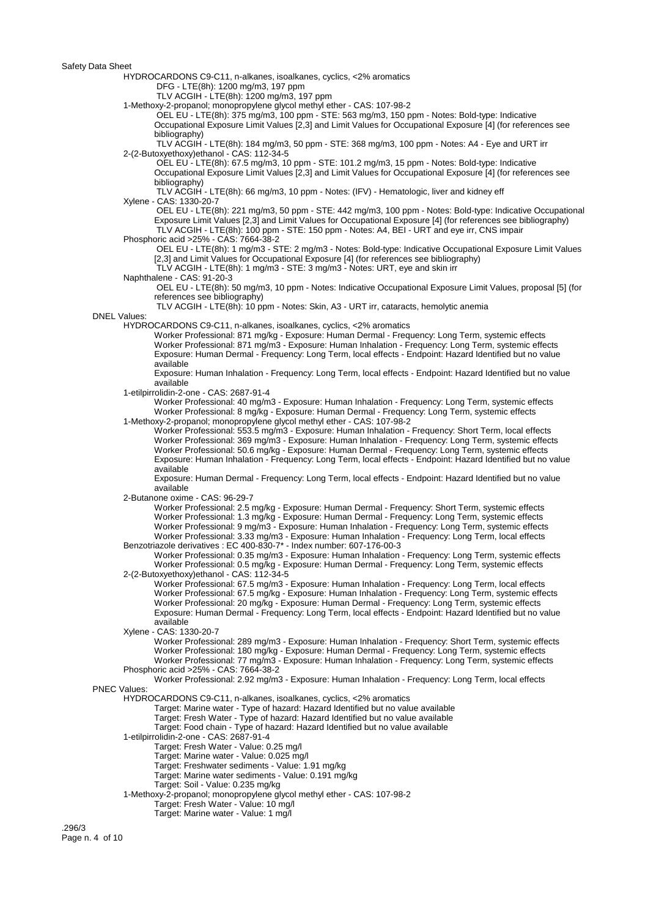HYDROCARDONS C9-C11, n-alkanes, isoalkanes, cyclics, <2% aromatics

DFG - LTE(8h): 1200 mg/m3, 197 ppm

TLV ACGIH - LTE(8h): 1200 mg/m3, 197 ppm

1-Methoxy-2-propanol; monopropylene glycol methyl ether - CAS: 107-98-2

 OEL EU - LTE(8h): 375 mg/m3, 100 ppm - STE: 563 mg/m3, 150 ppm - Notes: Bold-type: Indicative Occupational Exposure Limit Values [2,3] and Limit Values for Occupational Exposure [4] (for references see bibliography)

 TLV ACGIH - LTE(8h): 184 mg/m3, 50 ppm - STE: 368 mg/m3, 100 ppm - Notes: A4 - Eye and URT irr 2-(2-Butoxyethoxy)ethanol - CAS: 112-34-5

 OEL EU - LTE(8h): 67.5 mg/m3, 10 ppm - STE: 101.2 mg/m3, 15 ppm - Notes: Bold-type: Indicative Occupational Exposure Limit Values [2,3] and Limit Values for Occupational Exposure [4] (for references see bibliography)

 TLV ACGIH - LTE(8h): 66 mg/m3, 10 ppm - Notes: (IFV) - Hematologic, liver and kidney eff Xylene - CAS: 1330-20-7

 OEL EU - LTE(8h): 221 mg/m3, 50 ppm - STE: 442 mg/m3, 100 ppm - Notes: Bold-type: Indicative Occupational Exposure Limit Values [2,3] and Limit Values for Occupational Exposure [4] (for references see bibliography) TLV ACGIH - LTE(8h): 100 ppm - STE: 150 ppm - Notes: A4, BEI - URT and eye irr, CNS impair

Phosphoric acid >25% - CAS: 7664-38-2

 OEL EU - LTE(8h): 1 mg/m3 - STE: 2 mg/m3 - Notes: Bold-type: Indicative Occupational Exposure Limit Values [2,3] and Limit Values for Occupational Exposure [4] (for references see bibliography)

TLV ACGIH - LTE(8h): 1 mg/m3 - STE: 3 mg/m3 - Notes: URT, eye and skin irr

Naphthalene - CAS: 91-20-3

 OEL EU - LTE(8h): 50 mg/m3, 10 ppm - Notes: Indicative Occupational Exposure Limit Values, proposal [5] (for references see bibliography)

TLV ACGIH - LTE(8h): 10 ppm - Notes: Skin, A3 - URT irr, cataracts, hemolytic anemia

DNEL Values:

HYDROCARDONS C9-C11, n-alkanes, isoalkanes, cyclics, <2% aromatics

Worker Professional: 871 mg/kg - Exposure: Human Dermal - Frequency: Long Term, systemic effects Worker Professional: 871 mg/m3 - Exposure: Human Inhalation - Frequency: Long Term, systemic effects Exposure: Human Dermal - Frequency: Long Term, local effects - Endpoint: Hazard Identified but no value available

Exposure: Human Inhalation - Frequency: Long Term, local effects - Endpoint: Hazard Identified but no value available

1-etilpirrolidin-2-one - CAS: 2687-91-4

Worker Professional: 40 mg/m3 - Exposure: Human Inhalation - Frequency: Long Term, systemic effects Worker Professional: 8 mg/kg - Exposure: Human Dermal - Frequency: Long Term, systemic effects 1-Methoxy-2-propanol; monopropylene glycol methyl ether - CAS: 107-98-2

Worker Professional: 553.5 mg/m3 - Exposure: Human Inhalation - Frequency: Short Term, local effects Worker Professional: 369 mg/m3 - Exposure: Human Inhalation - Frequency: Long Term, systemic effects Worker Professional: 50.6 mg/kg - Exposure: Human Dermal - Frequency: Long Term, systemic effects Exposure: Human Inhalation - Frequency: Long Term, local effects - Endpoint: Hazard Identified but no value available

Exposure: Human Dermal - Frequency: Long Term, local effects - Endpoint: Hazard Identified but no value available

2-Butanone oxime - CAS: 96-29-7

Worker Professional: 2.5 mg/kg - Exposure: Human Dermal - Frequency: Short Term, systemic effects Worker Professional: 1.3 mg/kg - Exposure: Human Dermal - Frequency: Long Term, systemic effects Worker Professional: 9 mg/m3 - Exposure: Human Inhalation - Frequency: Long Term, systemic effects Worker Professional: 3.33 mg/m3 - Exposure: Human Inhalation - Frequency: Long Term, local effects Benzotriazole derivatives : EC 400-830-7\* - Index number: 607-176-00-3

Worker Professional: 0.35 mg/m3 - Exposure: Human Inhalation - Frequency: Long Term, systemic effects Worker Professional: 0.5 mg/kg - Exposure: Human Dermal - Frequency: Long Term, systemic effects 2-(2-Butoxyethoxy)ethanol - CAS: 112-34-5

Worker Professional: 67.5 mg/m3 - Exposure: Human Inhalation - Frequency: Long Term, local effects Worker Professional: 67.5 mg/kg - Exposure: Human Inhalation - Frequency: Long Term, systemic effects Worker Professional: 20 mg/kg - Exposure: Human Dermal - Frequency: Long Term, systemic effects Exposure: Human Dermal - Frequency: Long Term, local effects - Endpoint: Hazard Identified but no value available

Xylene - CAS: 1330-20-7

Worker Professional: 289 mg/m3 - Exposure: Human Inhalation - Frequency: Short Term, systemic effects Worker Professional: 180 mg/kg - Exposure: Human Dermal - Frequency: Long Term, systemic effects Worker Professional: 77 mg/m3 - Exposure: Human Inhalation - Frequency: Long Term, systemic effects Phosphoric acid >25% - CAS: 7664-38-2

Worker Professional: 2.92 mg/m3 - Exposure: Human Inhalation - Frequency: Long Term, local effects

PNEC Values:

HYDROCARDONS C9-C11, n-alkanes, isoalkanes, cyclics, <2% aromatics

Target: Marine water - Type of hazard: Hazard Identified but no value available

Target: Fresh Water - Type of hazard: Hazard Identified but no value available

Target: Food chain - Type of hazard: Hazard Identified but no value available

1-etilpirrolidin-2-one - CAS: 2687-91-4

Target: Fresh Water - Value: 0.25 mg/l

Target: Marine water - Value: 0.025 mg/l

Target: Freshwater sediments - Value: 1.91 mg/kg

Target: Marine water sediments - Value: 0.191 mg/kg

Target: Soil - Value: 0.235 mg/kg

1-Methoxy-2-propanol; monopropylene glycol methyl ether - CAS: 107-98-2

Target: Fresh Water - Value: 10 mg/l

Target: Marine water - Value: 1 mg/l

.296/3 Page n. 4 of 10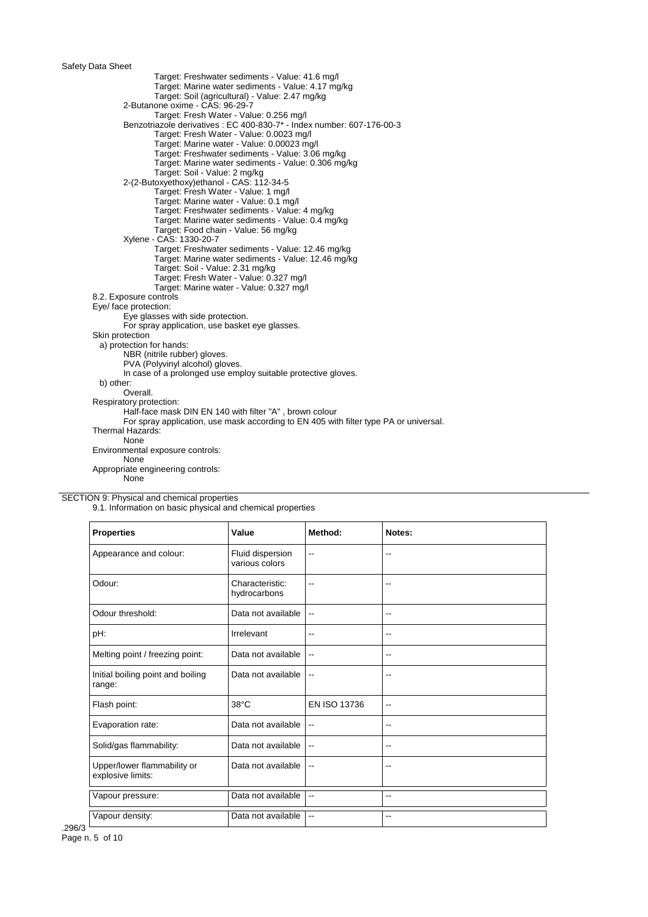Target: Freshwater sediments - Value: 41.6 mg/l Target: Marine water sediments - Value: 4.17 mg/kg Target: Soil (agricultural) - Value: 2.47 mg/kg 2-Butanone oxime - CAS: 96-29-7 Target: Fresh Water - Value: 0.256 mg/l Benzotriazole derivatives : EC 400-830-7\* - Index number: 607-176-00-3 Target: Fresh Water - Value: 0.0023 mg/l Target: Marine water - Value: 0.00023 mg/l Target: Freshwater sediments - Value: 3.06 mg/kg Target: Marine water sediments - Value: 0.306 mg/kg Target: Soil - Value: 2 mg/kg 2-(2-Butoxyethoxy)ethanol - CAS: 112-34-5 Target: Fresh Water - Value: 1 mg/l Target: Marine water - Value: 0.1 mg/l Target: Freshwater sediments - Value: 4 mg/kg Target: Marine water sediments - Value: 0.4 mg/kg Target: Food chain - Value: 56 mg/kg Xylene - CAS: 1330-20-7 Target: Freshwater sediments - Value: 12.46 mg/kg Target: Marine water sediments - Value: 12.46 mg/kg Target: Soil - Value: 2.31 mg/kg Target: Fresh Water - Value: 0.327 mg/l Target: Marine water - Value: 0.327 mg/l 8.2. Exposure controls Eye/ face protection: Eye glasses with side protection. For spray application, use basket eye glasses. Skin protection a) protection for hands: NBR (nitrile rubber) gloves. PVA (Polyvinyl alcohol) gloves. In case of a prolonged use employ suitable protective gloves. b) other: Overall. Respiratory protection: Half-face mask DIN EN 140 with filter "A" , brown colour For spray application, use mask according to EN 405 with filter type PA or universal. Thermal Hazards: None Environmental exposure controls: None Appropriate engineering controls: None

SECTION 9: Physical and chemical properties

9.1. Information on basic physical and chemical properties

| <b>Properties</b>                                | Value                              | Method:                  | Notes:                   |
|--------------------------------------------------|------------------------------------|--------------------------|--------------------------|
| Appearance and colour:                           | Fluid dispersion<br>various colors | $\overline{\phantom{a}}$ | $\overline{\phantom{a}}$ |
| Odour:                                           | Characteristic:<br>hydrocarbons    | $-$                      | --                       |
| Odour threshold:                                 | Data not available                 |                          | $\overline{\phantom{a}}$ |
| pH:                                              | Irrelevant                         | $\overline{\phantom{a}}$ | --                       |
| Melting point / freezing point:                  | Data not available                 | $\overline{\phantom{a}}$ | $\overline{\phantom{a}}$ |
| Initial boiling point and boiling<br>range:      | Data not available                 | $\overline{\phantom{a}}$ | --                       |
| Flash point:                                     | $38^{\circ}$ C                     | EN ISO 13736             | $-$                      |
| Evaporation rate:                                | Data not available                 | $\overline{\phantom{a}}$ | $-$                      |
| Solid/gas flammability:                          | Data not available                 | $\overline{\phantom{a}}$ | --                       |
| Upper/lower flammability or<br>explosive limits: | Data not available                 | $\overline{\phantom{a}}$ | --                       |
| Vapour pressure:                                 | Data not available                 | $\overline{\phantom{a}}$ | --                       |
| Vapour density:                                  | Data not available                 | $\overline{\phantom{a}}$ | $-$                      |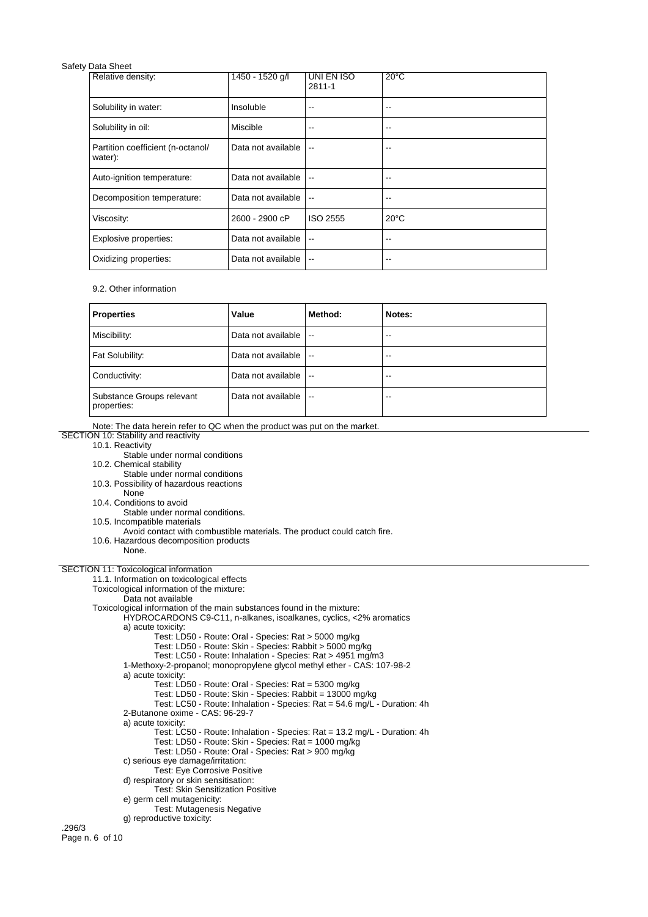| Relative density:                            | 1450 - 1520 g/l    | UNI EN ISO<br>$2811 - 1$ | $20^{\circ}$ C |
|----------------------------------------------|--------------------|--------------------------|----------------|
| Solubility in water:                         | Insoluble          | --                       | --             |
| Solubility in oil:                           | Miscible           | --                       | --             |
| Partition coefficient (n-octanol/<br>water): | Data not available | $\overline{\phantom{a}}$ | --             |
| Auto-ignition temperature:                   | Data not available | $\overline{\phantom{a}}$ | --             |
| Decomposition temperature:                   | Data not available | $\overline{a}$           | --             |
| Viscosity:                                   | 2600 - 2900 cP     | <b>ISO 2555</b>          | $20^{\circ}$ C |
| Explosive properties:                        | Data not available | $\overline{a}$           | --             |
| Oxidizing properties:                        | Data not available | $\overline{\phantom{a}}$ | --             |

## 9.2. Other information

| <b>Properties</b>                        | Value              | Method:                  | Notes: |
|------------------------------------------|--------------------|--------------------------|--------|
| Miscibility:                             | Data not available | $\overline{\phantom{a}}$ | --     |
| Fat Solubility:                          | Data not available | $\overline{\phantom{a}}$ | $-1$   |
| Conductivity:                            | Data not available | $\overline{\phantom{a}}$ | --     |
| Substance Groups relevant<br>properties: | Data not available | $\overline{\phantom{a}}$ | --     |

Note: The data herein refer to QC when the product was put on the market.

- SECTION 10: Stability and reactivity
	- 10.1. Reactivity
		- Stable under normal conditions
	- 10.2. Chemical stability
	- Stable under normal conditions
	- 10.3. Possibility of hazardous reactions
	- None
	- 10.4. Conditions to avoid
	- Stable under normal conditions.

10.5. Incompatible materials Avoid contact with combustible materials. The product could catch fire. 10.6. Hazardous decomposition products None. SECTION 11: Toxicological information 11.1. Information on toxicological effects Toxicological information of the mixture: Data not available Toxicological information of the main substances found in the mixture: HYDROCARDONS C9-C11, n-alkanes, isoalkanes, cyclics, <2% aromatics a) acute toxicity: Test: LD50 - Route: Oral - Species: Rat > 5000 mg/kg Test: LD50 - Route: Skin - Species: Rabbit > 5000 mg/kg Test: LC50 - Route: Inhalation - Species: Rat > 4951 mg/m3 1-Methoxy-2-propanol; monopropylene glycol methyl ether - CAS: 107-98-2 a) acute toxicity: Test: LD50 - Route: Oral - Species: Rat = 5300 mg/kg Test: LD50 - Route: Skin - Species: Rabbit = 13000 mg/kg Test: LC50 - Route: Inhalation - Species: Rat = 54.6 mg/L - Duration: 4h 2-Butanone oxime - CAS: 96-29-7 a) acute toxicity: Test: LC50 - Route: Inhalation - Species: Rat = 13.2 mg/L - Duration: 4h Test: LD50 - Route: Skin - Species: Rat = 1000 mg/kg Test: LD50 - Route: Oral - Species: Rat > 900 mg/kg c) serious eye damage/irritation: Test: Eye Corrosive Positive d) respiratory or skin sensitisation: Test: Skin Sensitization Positive e) germ cell mutagenicity: Test: Mutagenesis Negative g) reproductive toxicity: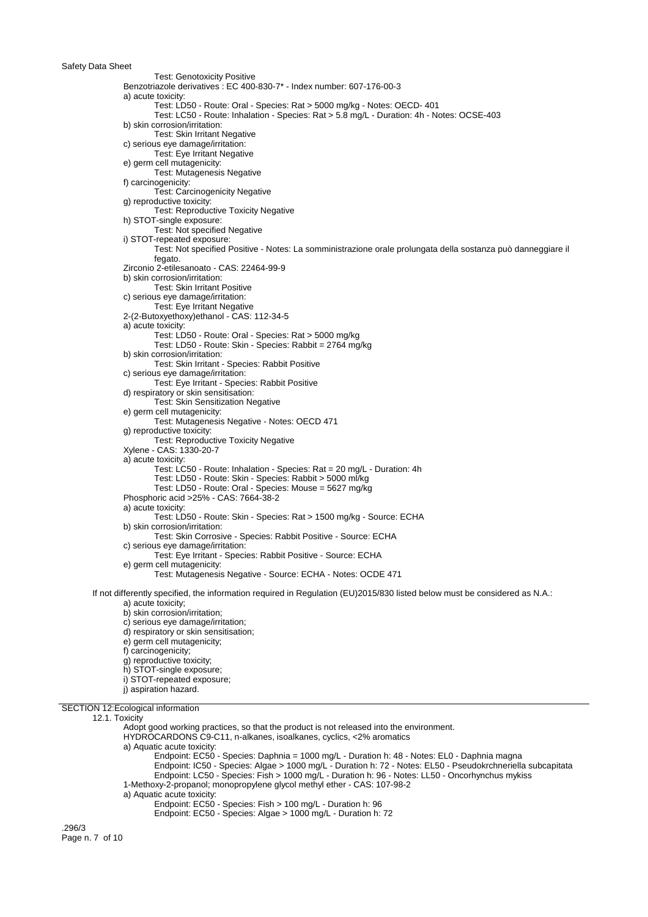Test: Genotoxicity Positive Benzotriazole derivatives : EC 400-830-7\* - Index number: 607-176-00-3 a) acute toxicity: Test: LD50 - Route: Oral - Species: Rat > 5000 mg/kg - Notes: OECD- 401 Test: LC50 - Route: Inhalation - Species: Rat > 5.8 mg/L - Duration: 4h - Notes: OCSE-403 b) skin corrosion/irritation: Test: Skin Irritant Negative c) serious eye damage/irritation: Test: Eye Irritant Negative e) germ cell mutagenicity: Test: Mutagenesis Negative f) carcinogenicity: Test: Carcinogenicity Negative g) reproductive toxicity: Test: Reproductive Toxicity Negative h) STOT-single exposure: Test: Not specified Negative i) STOT-repeated exposure: Test: Not specified Positive - Notes: La somministrazione orale prolungata della sostanza può danneggiare il fegato. Zirconio 2-etilesanoato - CAS: 22464-99-9 b) skin corrosion/irritation: Test: Skin Irritant Positive c) serious eye damage/irritation: Test: Eye Irritant Negative 2-(2-Butoxyethoxy)ethanol - CAS: 112-34-5 a) acute toxicity: Test: LD50 - Route: Oral - Species: Rat > 5000 mg/kg Test: LD50 - Route: Skin - Species: Rabbit = 2764 mg/kg b) skin corrosion/irritation: Test: Skin Irritant - Species: Rabbit Positive c) serious eye damage/irritation: Test: Eye Irritant - Species: Rabbit Positive d) respiratory or skin sensitisation: Test: Skin Sensitization Negative e) germ cell mutagenicity: Test: Mutagenesis Negative - Notes: OECD 471 g) reproductive toxicity: Test: Reproductive Toxicity Negative Xylene - CAS: 1330-20-7 a) acute toxicity: Test: LC50 - Route: Inhalation - Species: Rat = 20 mg/L - Duration: 4h Test: LD50 - Route: Skin - Species: Rabbit > 5000 ml/kg Test: LD50 - Route: Oral - Species: Mouse = 5627 mg/kg Phosphoric acid >25% - CAS: 7664-38-2 a) acute toxicity: Test: LD50 - Route: Skin - Species: Rat > 1500 mg/kg - Source: ECHA b) skin corrosion/irritation: Test: Skin Corrosive - Species: Rabbit Positive - Source: ECHA c) serious eye damage/irritation: Test: Eye Irritant - Species: Rabbit Positive - Source: ECHA e) germ cell mutagenicity: Test: Mutagenesis Negative - Source: ECHA - Notes: OCDE 471 If not differently specified, the information required in Regulation (EU)2015/830 listed below must be considered as N.A.: a) acute toxicity; b) skin corrosion/irritation; c) serious eye damage/irritation; d) respiratory or skin sensitisation; e) germ cell mutagenicity; f) carcinogenicity; g) reproductive toxicity; h) STOT-single exposure; i) STOT-repeated exposure; j) aspiration hazard. SECTION 12:Ecological information 12.1. Toxicity Adopt good working practices, so that the product is not released into the environment. HYDROCARDONS C9-C11, n-alkanes, isoalkanes, cyclics, <2% aromatics a) Aquatic acute toxicity: Endpoint: EC50 - Species: Daphnia = 1000 mg/L - Duration h: 48 - Notes: EL0 - Daphnia magna Endpoint: IC50 - Species: Algae > 1000 mg/L - Duration h: 72 - Notes: EL50 - Pseudokrchneriella subcapitata Endpoint: LC50 - Species: Fish > 1000 mg/L - Duration h: 96 - Notes: LL50 - Oncorhynchus mykiss 1-Methoxy-2-propanol; monopropylene glycol methyl ether - CAS: 107-98-2 a) Aquatic acute toxicity: Endpoint: EC50 - Species: Fish > 100 mg/L - Duration h: 96

Endpoint: EC50 - Species: Algae > 1000 mg/L - Duration h: 72

.296/3 Page n. 7 of 10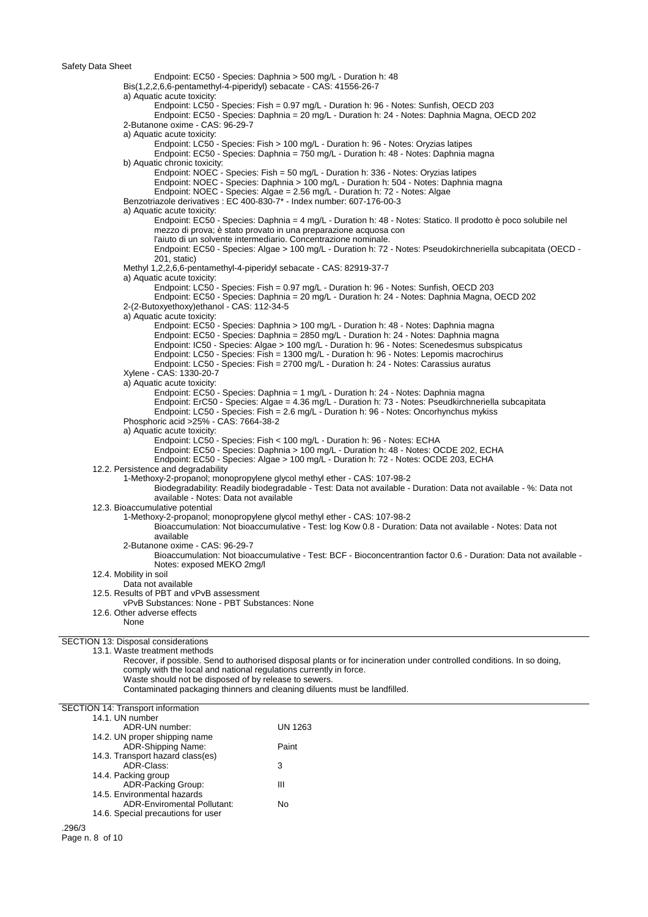14.6. Special precautions for user

.296/3 Page n. 8 of 10

Endpoint: EC50 - Species: Daphnia > 500 mg/L - Duration h: 48 Bis(1,2,2,6,6-pentamethyl-4-piperidyl) sebacate - CAS: 41556-26-7 a) Aquatic acute toxicity: Endpoint: LC50 - Species: Fish = 0.97 mg/L - Duration h: 96 - Notes: Sunfish, OECD 203 Endpoint: EC50 - Species: Daphnia = 20 mg/L - Duration h: 24 - Notes: Daphnia Magna, OECD 202 2-Butanone oxime - CAS: 96-29-7 a) Aquatic acute toxicity: Endpoint: LC50 - Species: Fish > 100 mg/L - Duration h: 96 - Notes: Oryzias latipes Endpoint: EC50 - Species: Daphnia = 750 mg/L - Duration h: 48 - Notes: Daphnia magna b) Aquatic chronic toxicity: Endpoint: NOEC - Species: Fish = 50 mg/L - Duration h: 336 - Notes: Oryzias latipes Endpoint: NOEC - Species: Daphnia > 100 mg/L - Duration h: 504 - Notes: Daphnia magna Endpoint: NOEC - Species: Algae = 2.56 mg/L - Duration h: 72 - Notes: Algae Benzotriazole derivatives : EC 400-830-7\* - Index number: 607-176-00-3 a) Aquatic acute toxicity: Endpoint: EC50 - Species: Daphnia = 4 mg/L - Duration h: 48 - Notes: Statico. Il prodotto è poco solubile nel mezzo di prova; è stato provato in una preparazione acquosa con l'aiuto di un solvente intermediario. Concentrazione nominale. Endpoint: EC50 - Species: Algae > 100 mg/L - Duration h: 72 - Notes: Pseudokirchneriella subcapitata (OECD - 201, static) Methyl 1,2,2,6,6-pentamethyl-4-piperidyl sebacate - CAS: 82919-37-7 a) Aquatic acute toxicity: Endpoint: LC50 - Species: Fish = 0.97 mg/L - Duration h: 96 - Notes: Sunfish, OECD 203 Endpoint: EC50 - Species: Daphnia = 20 mg/L - Duration h: 24 - Notes: Daphnia Magna, OECD 202 2-(2-Butoxyethoxy)ethanol - CAS: 112-34-5 a) Aquatic acute toxicity: Endpoint: EC50 - Species: Daphnia > 100 mg/L - Duration h: 48 - Notes: Daphnia magna Endpoint: EC50 - Species: Daphnia = 2850 mg/L - Duration h: 24 - Notes: Daphnia magna Endpoint: IC50 - Species: Algae > 100 mg/L - Duration h: 96 - Notes: Scenedesmus subspicatus Endpoint: LC50 - Species: Fish = 1300 mg/L - Duration h: 96 - Notes: Lepomis macrochirus Endpoint: LC50 - Species: Fish = 2700 mg/L - Duration h: 24 - Notes: Carassius auratus Xylene - CAS: 1330-20-7 a) Aquatic acute toxicity: Endpoint: EC50 - Species: Daphnia = 1 mg/L - Duration h: 24 - Notes: Daphnia magna Endpoint: ErC50 - Species: Algae = 4.36 mg/L - Duration h: 73 - Notes: Pseudkirchneriella subcapitata Endpoint: LC50 - Species: Fish = 2.6 mg/L - Duration h: 96 - Notes: Oncorhynchus mykiss Phosphoric acid >25% - CAS: 7664-38-2 a) Aquatic acute toxicity: Endpoint: LC50 - Species: Fish < 100 mg/L - Duration h: 96 - Notes: ECHA Endpoint: EC50 - Species: Daphnia > 100 mg/L - Duration h: 48 - Notes: OCDE 202, ECHA Endpoint: EC50 - Species: Algae > 100 mg/L - Duration h: 72 - Notes: OCDE 203, ECHA 12.2. Persistence and degradability 1-Methoxy-2-propanol; monopropylene glycol methyl ether - CAS: 107-98-2 Biodegradability: Readily biodegradable - Test: Data not available - Duration: Data not available - %: Data not available - Notes: Data not available 12.3. Bioaccumulative potential 1-Methoxy-2-propanol; monopropylene glycol methyl ether - CAS: 107-98-2 Bioaccumulation: Not bioaccumulative - Test: log Kow 0.8 - Duration: Data not available - Notes: Data not available 2-Butanone oxime - CAS: 96-29-7 Bioaccumulation: Not bioaccumulative - Test: BCF - Bioconcentrantion factor 0.6 - Duration: Data not available - Notes: exposed MEKO 2mg/l 12.4. Mobility in soil Data not available 12.5. Results of PBT and vPvB assessment vPvB Substances: None - PBT Substances: None 12.6. Other adverse effects None SECTION 13: Disposal considerations 13.1. Waste treatment methods Recover, if possible. Send to authorised disposal plants or for incineration under controlled conditions. In so doing, comply with the local and national regulations currently in force. Waste should not be disposed of by release to sewers. Contaminated packaging thinners and cleaning diluents must be landfilled. SECTION 14: Transport information 14.1. UN number ADR-UN number: UN 1263 14.2. UN proper shipping name ADR-Shipping Name: Paint 14.3. Transport hazard class(es) ADR-Class: 3 14.4. Packing group ADR-Packing Group: III 14.5. Environmental hazards ADR-Enviromental Pollutant: No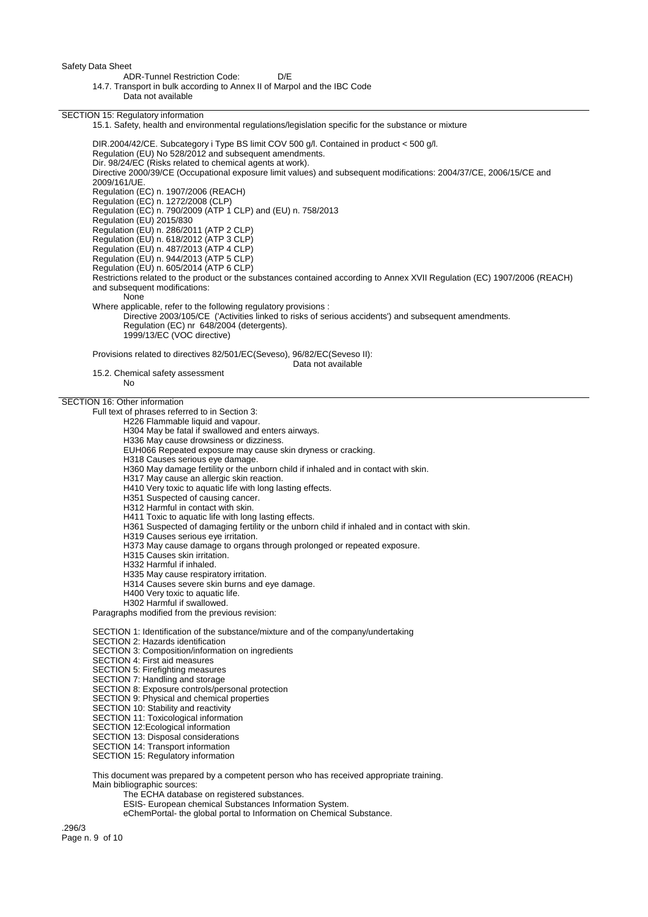ADR-Tunnel Restriction Code: D/E

14.7. Transport in bulk according to Annex II of Marpol and the IBC Code

Data not available

SECTION 15: Regulatory information

15.1. Safety, health and environmental regulations/legislation specific for the substance or mixture

DIR.2004/42/CE. Subcategory i Type BS limit COV 500 g/l. Contained in product < 500 g/l. Regulation (EU) No 528/2012 and subsequent amendments. Dir. 98/24/EC (Risks related to chemical agents at work). Directive 2000/39/CE (Occupational exposure limit values) and subsequent modifications: 2004/37/CE, 2006/15/CE and 2009/161/UE. Regulation (EC) n. 1907/2006 (REACH) Regulation (EC) n. 1272/2008 (CLP) Regulation (EC) n. 790/2009 (ATP 1 CLP) and (EU) n. 758/2013 Regulation (EU) 2015/830 Regulation (EU) n. 286/2011 (ATP 2 CLP) Regulation (EU) n. 618/2012 (ATP 3 CLP) Regulation (EU) n. 487/2013 (ATP 4 CLP) Regulation (EU) n. 944/2013 (ATP 5 CLP) Regulation (EU) n. 605/2014 (ATP 6 CLP) Restrictions related to the product or the substances contained according to Annex XVII Regulation (EC) 1907/2006 (REACH) and subsequent modifications: None Where applicable, refer to the following regulatory provisions : Directive 2003/105/CE ('Activities linked to risks of serious accidents') and subsequent amendments. Regulation (EC) nr 648/2004 (detergents). 1999/13/EC (VOC directive) Provisions related to directives 82/501/EC(Seveso), 96/82/EC(Seveso II): Data not available 15.2. Chemical safety assessment No SECTION 16: Other information Full text of phrases referred to in Section 3: H226 Flammable liquid and vapour. H304 May be fatal if swallowed and enters airways. H336 May cause drowsiness or dizziness. EUH066 Repeated exposure may cause skin dryness or cracking. H318 Causes serious eye damage. H360 May damage fertility or the unborn child if inhaled and in contact with skin. H317 May cause an allergic skin reaction. H410 Very toxic to aquatic life with long lasting effects. H351 Suspected of causing cancer. H312 Harmful in contact with skin. H411 Toxic to aquatic life with long lasting effects. H361 Suspected of damaging fertility or the unborn child if inhaled and in contact with skin. H319 Causes serious eye irritation. H373 May cause damage to organs through prolonged or repeated exposure. H315 Causes skin irritation.

H332 Harmful if inhaled.

H335 May cause respiratory irritation.

H314 Causes severe skin burns and eye damage.

H400 Very toxic to aquatic life.

H302 Harmful if swallowed.

Paragraphs modified from the previous revision:

SECTION 1: Identification of the substance/mixture and of the company/undertaking

SECTION 2: Hazards identification

SECTION 3: Composition/information on ingredients

SECTION 4: First aid measures

SECTION 5: Firefighting measures

SECTION 7: Handling and storage

SECTION 8: Exposure controls/personal protection

SECTION 9: Physical and chemical properties

SECTION 10: Stability and reactivity

SECTION 11: Toxicological information

SECTION 12:Ecological information

SECTION 13: Disposal considerations

SECTION 14: Transport information

SECTION 15: Regulatory information

This document was prepared by a competent person who has received appropriate training. Main bibliographic sources:

The ECHA database on registered substances.

ESIS- European chemical Substances Information System.

eChemPortal- the global portal to Information on Chemical Substance.

.296/3 Page n. 9 of 10